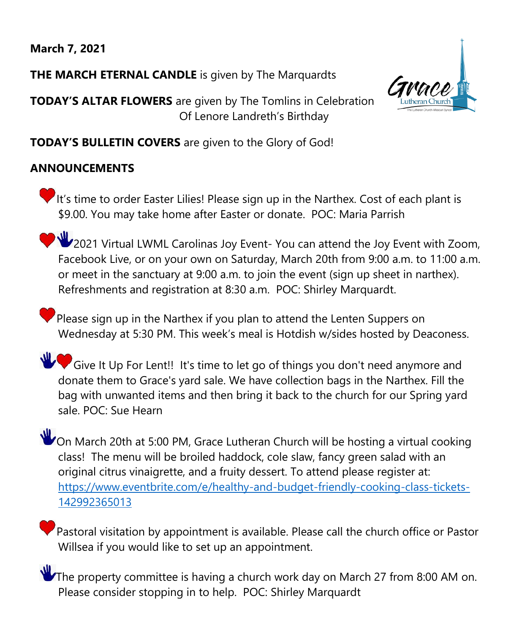# **March 7, 2021**

**THE MARCH ETERNAL CANDLE** is given by The Marquardts

**TODAY'S ALTAR FLOWERS** are given by The Tomlins in Celebration Of Lenore Landreth's Birthday



**TODAY'S BULLETIN COVERS** are given to the Glory of God!

## **ANNOUNCEMENTS**

It's time to order Easter Lilies! Please sign up in the Narthex. Cost of each plant is \$9.00. You may take home after Easter or donate. POC: Maria Parrish

2021 Virtual LWML Carolinas Joy Event- You can attend the Joy Event with Zoom, Facebook Live, or on your own on Saturday, March 20th from 9:00 a.m. to 11:00 a.m. or meet in the sanctuary at 9:00 a.m. to join the event (sign up sheet in narthex). Refreshments and registration at 8:30 a.m. POC: Shirley Marquardt.

Please sign up in the Narthex if you plan to attend the Lenten Suppers on Wednesday at 5:30 PM. This week's meal is Hotdish w/sides hosted by Deaconess.

Give It Up For Lent!! It's time to let go of things you don't need anymore and donate them to Grace's yard sale. We have collection bags in the Narthex. Fill the bag with unwanted items and then bring it back to the church for our Spring yard sale. POC: Sue Hearn

On March 20th at 5:00 PM, Grace Lutheran Church will be hosting a virtual cooking class! The menu will be broiled haddock, cole slaw, fancy green salad with an original citrus vinaigrette, and a fruity dessert. To attend please register at: [https://www.eventbrite.com/e/healthy-and-budget-friendly-cooking-class-tickets-](https://www.eventbrite.com/e/healthy-and-budget-friendly-cooking-class-tickets-142992365013)[142992365013](https://www.eventbrite.com/e/healthy-and-budget-friendly-cooking-class-tickets-142992365013)

 $\mathbb P$  Pastoral visitation by appointment is available. Please call the church office or Pastor Willsea if you would like to set up an appointment.

The property committee is having a church work day on March 27 from 8:00 AM on. Please consider stopping in to help. POC: Shirley Marquardt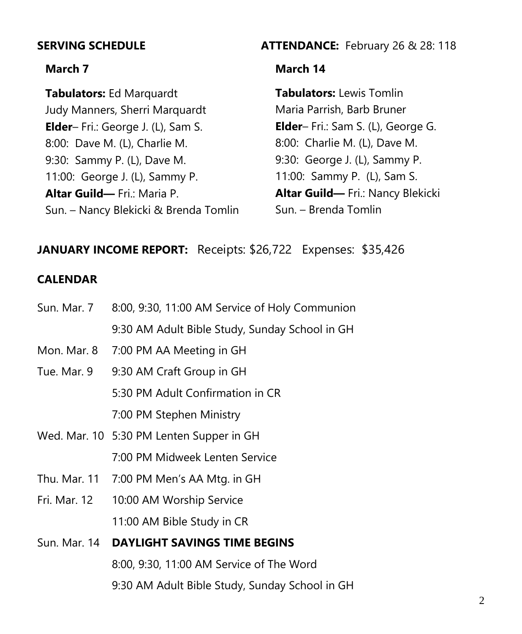#### **March 7**

**Tabulators:** Ed Marquardt Judy Manners, Sherri Marquardt **Elder**– Fri.: George J. (L), Sam S. 8:00: Dave M. (L), Charlie M. 9:30: Sammy P. (L), Dave M. 11:00: George J. (L), Sammy P. **Altar Guild—** Fri.: Maria P. Sun. – Nancy Blekicki & Brenda Tomlin

### **SERVING SCHEDULE ATTENDANCE:** February 26 & 28: 118

### **March 14**

**Tabulators:** Lewis Tomlin Maria Parrish, Barb Bruner **Elder**– Fri.: Sam S. (L), George G. 8:00: Charlie M. (L), Dave M. 9:30: George J. (L), Sammy P. 11:00: Sammy P. (L), Sam S. **Altar Guild—** Fri.: Nancy Blekicki Sun. – Brenda Tomlin

## **JANUARY INCOME REPORT:** Receipts: \$26,722 Expenses: \$35,426

## **CALENDAR**

| Sun. Mar. 7  | 8:00, 9:30, 11:00 AM Service of Holy Communion |
|--------------|------------------------------------------------|
|              | 9:30 AM Adult Bible Study, Sunday School in GH |
| Mon. Mar. 8  | 7:00 PM AA Meeting in GH                       |
| Tue. Mar. 9  | 9:30 AM Craft Group in GH                      |
|              | 5:30 PM Adult Confirmation in CR               |
|              | 7:00 PM Stephen Ministry                       |
|              | Wed. Mar. 10 5:30 PM Lenten Supper in GH       |
|              | 7:00 PM Midweek Lenten Service                 |
| Thu. Mar. 11 | 7:00 PM Men's AA Mtg. in GH                    |
| Fri. Mar. 12 | 10:00 AM Worship Service                       |
|              | 11:00 AM Bible Study in CR                     |
| Sun. Mar. 14 | <b>DAYLIGHT SAVINGS TIME BEGINS</b>            |
|              | 8:00, 9:30, 11:00 AM Service of The Word       |
|              | 9:30 AM Adult Bible Study, Sunday School in GH |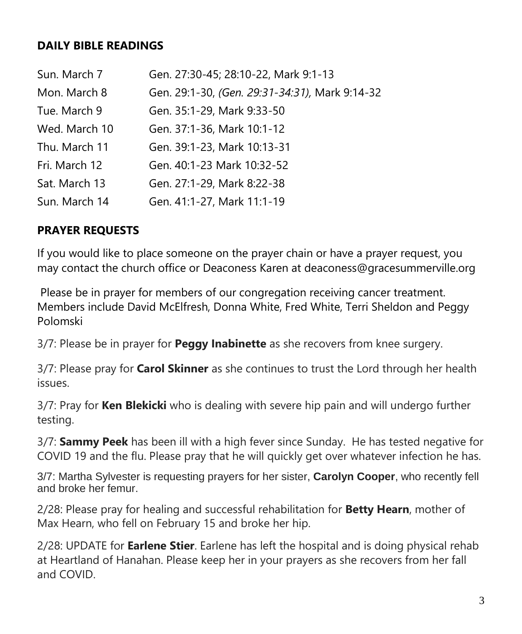## **DAILY BIBLE READINGS**

| Sun. March 7  | Gen. 27:30-45; 28:10-22, Mark 9:1-13           |
|---------------|------------------------------------------------|
| Mon. March 8  | Gen. 29:1-30, (Gen. 29:31-34:31), Mark 9:14-32 |
| Tue. March 9  | Gen. 35:1-29, Mark 9:33-50                     |
| Wed. March 10 | Gen. 37:1-36, Mark 10:1-12                     |
| Thu. March 11 | Gen. 39:1-23, Mark 10:13-31                    |
| Fri. March 12 | Gen. 40:1-23 Mark 10:32-52                     |
| Sat. March 13 | Gen. 27:1-29, Mark 8:22-38                     |
| Sun. March 14 | Gen. 41:1-27, Mark 11:1-19                     |

# **PRAYER REQUESTS**

If you would like to place someone on the prayer chain or have a prayer request, you may contact the church office or Deaconess Karen at deaconess@gracesummerville.org

Please be in prayer for members of our congregation receiving cancer treatment. Members include David McElfresh, Donna White, Fred White, Terri Sheldon and Peggy Polomski

3/7: Please be in prayer for **Peggy Inabinette** as she recovers from knee surgery.

3/7: Please pray for **Carol Skinner** as she continues to trust the Lord through her health issues.

3/7: Pray for **Ken Blekicki** who is dealing with severe hip pain and will undergo further testing.

3/7: **Sammy Peek** has been ill with a high fever since Sunday. He has tested negative for COVID 19 and the flu. Please pray that he will quickly get over whatever infection he has.

3/7: Martha Sylvester is requesting prayers for her sister, **Carolyn Cooper**, who recently fell and broke her femur.

2/28: Please pray for healing and successful rehabilitation for **Betty Hearn**, mother of Max Hearn, who fell on February 15 and broke her hip.

2/28: UPDATE for **Earlene Stier**. Earlene has left the hospital and is doing physical rehab at Heartland of Hanahan. Please keep her in your prayers as she recovers from her fall and COVID.